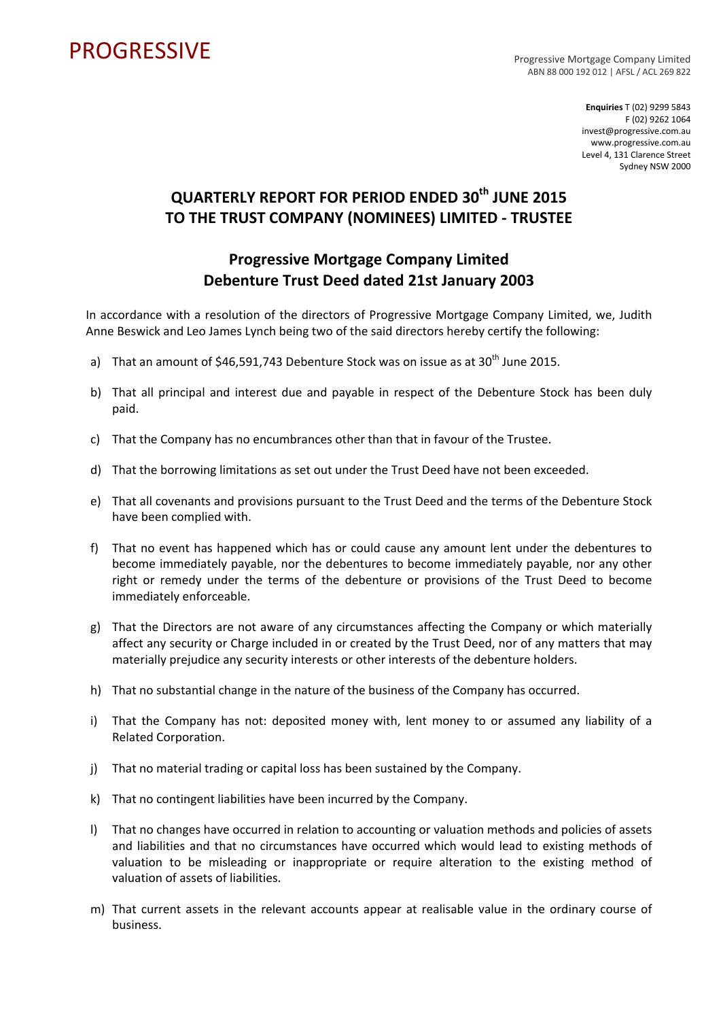## PROGRESSIVE PROGRESSIVE

ABN 88 000 192 012 | AFSL / ACL 269 822

**Enquiries** T (02) 9299 5843 F (02) 9262 1064 invest@progressive.com.au www.progressive.com.au Level 4, 131 Clarence Street Sydney NSW 2000

## **QUARTERLY REPORT FOR PERIOD ENDED 30th JUNE 2015 TO THE TRUST COMPANY (NOMINEES) LIMITED ‐ TRUSTEE**

## **Progressive Mortgage Company Limited Debenture Trust Deed dated 21st January 2003**

In accordance with a resolution of the directors of Progressive Mortgage Company Limited, we, Judith Anne Beswick and Leo James Lynch being two of the said directors hereby certify the following:

- a) That an amount of  $$46,591,743$  Debenture Stock was on issue as at  $30<sup>th</sup>$  June 2015.
- b) That all principal and interest due and payable in respect of the Debenture Stock has been duly paid.
- c) That the Company has no encumbrances other than that in favour of the Trustee.
- d) That the borrowing limitations as set out under the Trust Deed have not been exceeded.
- e) That all covenants and provisions pursuant to the Trust Deed and the terms of the Debenture Stock have been complied with.
- f) That no event has happened which has or could cause any amount lent under the debentures to become immediately payable, nor the debentures to become immediately payable, nor any other right or remedy under the terms of the debenture or provisions of the Trust Deed to become immediately enforceable.
- g) That the Directors are not aware of any circumstances affecting the Company or which materially affect any security or Charge included in or created by the Trust Deed, nor of any matters that may materially prejudice any security interests or other interests of the debenture holders.
- h) That no substantial change in the nature of the business of the Company has occurred.
- i) That the Company has not: deposited money with, lent money to or assumed any liability of a Related Corporation.
- j) That no material trading or capital loss has been sustained by the Company.
- k) That no contingent liabilities have been incurred by the Company.
- l) That no changes have occurred in relation to accounting or valuation methods and policies of assets and liabilities and that no circumstances have occurred which would lead to existing methods of valuation to be misleading or inappropriate or require alteration to the existing method of valuation of assets of liabilities.
- m) That current assets in the relevant accounts appear at realisable value in the ordinary course of business.